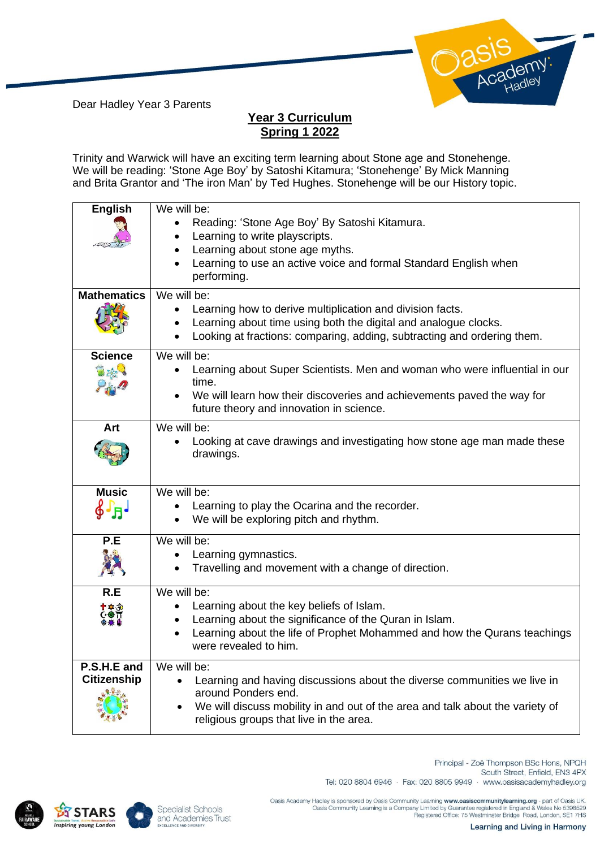Dear Hadley Year 3 Parents

## Identy:

## **Year 3 Curriculum Spring 1 2022**

Trinity and Warwick will have an exciting term learning about Stone age and Stonehenge. We will be reading: 'Stone Age Boy' by Satoshi Kitamura; 'Stonehenge' By Mick Manning and Brita Grantor and 'The iron Man' by Ted Hughes. Stonehenge will be our History topic.

| <b>English</b>     | We will be:                                                                         |
|--------------------|-------------------------------------------------------------------------------------|
|                    | Reading: 'Stone Age Boy' By Satoshi Kitamura.                                       |
|                    | Learning to write playscripts.                                                      |
|                    | Learning about stone age myths.                                                     |
|                    | Learning to use an active voice and formal Standard English when<br>performing.     |
| <b>Mathematics</b> | We will be:                                                                         |
|                    | Learning how to derive multiplication and division facts.                           |
|                    | Learning about time using both the digital and analogue clocks.                     |
|                    | Looking at fractions: comparing, adding, subtracting and ordering them.             |
|                    |                                                                                     |
| <b>Science</b>     | We will be:                                                                         |
| JAS.               | Learning about Super Scientists. Men and woman who were influential in our<br>time. |
|                    | We will learn how their discoveries and achievements paved the way for              |
|                    | future theory and innovation in science.                                            |
|                    |                                                                                     |
| Art                | We will be:                                                                         |
|                    | Looking at cave drawings and investigating how stone age man made these             |
|                    | drawings.                                                                           |
|                    |                                                                                     |
| <b>Music</b>       | We will be:                                                                         |
| $\oint \Gamma_H$   | Learning to play the Ocarina and the recorder.                                      |
|                    | We will be exploring pitch and rhythm.                                              |
| P.E                | We will be:                                                                         |
|                    | Learning gymnastics.                                                                |
|                    | Travelling and movement with a change of direction.                                 |
|                    |                                                                                     |
| R.E                | We will be:                                                                         |
|                    | Learning about the key beliefs of Islam.<br>$\bullet$                               |
| ≁₩€π               | Learning about the significance of the Quran in Islam.<br>$\bullet$                 |
|                    | Learning about the life of Prophet Mohammed and how the Qurans teachings            |
|                    | were revealed to him.                                                               |
| P.S.H.E and        | We will be:                                                                         |
| <b>Citizenship</b> | Learning and having discussions about the diverse communities we live in            |
|                    | around Ponders end.                                                                 |
|                    | We will discuss mobility in and out of the area and talk about the variety of       |
|                    | religious groups that live in the area.                                             |
|                    |                                                                                     |





South Street, Enfield, EN3 4PX Tel: 020 8804 6946 · Fax: 020 8805 9949 · www.oasisacademyhadley.org

Principal - Zoë Thompson BSc Hons, NPQH